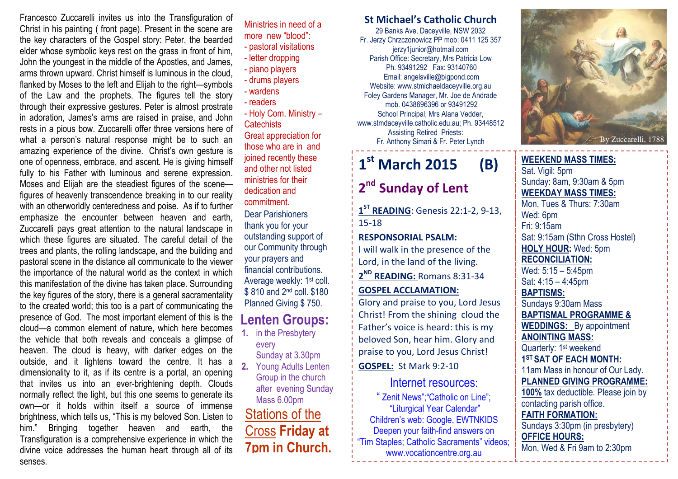Francesco Zuccarelli invites us into the Transfiguration of Christ in his painting ( front page). Present in the scene are the key characters of the Gospel story: Peter, the bearded elder whose symbolic keys rest on the grass in front of him, John the youngest in the middle of the Apostles, and James, arms thrown upward. Christ himself is luminous in the cloud, flanked by Moses to the left and Elijah to the right—symbols of the Law and the prophets. The figures tell the story through their expressive gestures. Peter is almost prostrate in adoration, James's arms are raised in praise, and John rests in a pious bow. Zuccarelli offer three versions here of what a person's natural response might be to such an amazing experience of the divine. Christ's own gesture is one of openness, embrace, and ascent. He is giving himself fully to his Father with luminous and serene expression. Moses and Elijah are the steadiest figures of the scene figures of heavenly transcendence breaking in to our reality with an otherworldly centeredness and poise. As if to further emphasize the encounter between heaven and earth, Zuccarelli pays great attention to the natural landscape in which these figures are situated. The careful detail of the trees and plants, the rolling landscape, and the building and pastoral scene in the distance all communicate to the viewer the importance of the natural world as the context in which this manifestation of the divine has taken place. Surrounding the key figures of the story, there is a general sacramentality to the created world; this too is a part of communicating the presence of God. The most important element of this is the cloud—a common element of nature, which here becomes the vehicle that both reveals and conceals a glimpse of heaven. The cloud is heavy, with darker edges on the outside, and it lightens toward the centre. It has a dimensionality to it, as if its centre is a portal, an opening that invites us into an ever-brightening depth. Clouds normally reflect the light, but this one seems to generate its own—or it holds within itself a source of immense brightness, which tells us, "This is my beloved Son. Listen to him." Bringing together heaven and earth, the Transfiguration is a comprehensive experience in which the divine voice addresses the human heart through all of its senses.

Stations of the Cross Friday at 7pm in Church.Lenten Groups:1. in the Presbytery every Sunday at 3.30pm Sunday at 3.30pm 2. Young Adults Lenten Group in the church after evening Sunday Mass 6.00pm - pastoral visitations - letter dropping - piano players - drums players - wardens - readers - Holy Com. Ministry – **Catechists**  Great appreciation for those who are in and joined recently these and other not listed ministries for their dedication and commitment.Dear Parishioners thank you for your outstanding support of our Community through your prayers and financial contributions. Average weekly: 1<sup>st</sup> coll. \$810 and 2<sup>nd</sup> coll. \$180 Planned Giving \$ 750.

Ministries in need of a more new "blood":

#### St Michael's Catholic Church

29 Banks Ave, Daceyville, NSW 2032 Fr. Jerzy Chrzczonowicz PP mob: 0411 125 357 jerzy1junior@hotmail.com Parish Office: Secretary, Mrs Patricia Low Ph. 93491292 Fax: 93140760 Email: angelsville@bigpond.com Website: www.stmichaeldaceyville.org.au Foley Gardens Manager, Mr. Joe de Andrade mob. 0438696396 or 93491292 School Principal, Mrs Alana Vedder, www.stmdaceyville.catholic.edu.au; Ph. 93448512 Assisting Retired Priests: Fr. Anthony Simari & Fr. Peter Lynch

# $1^{\text{st}}$  March 2015 (B)

### 2<sup>nd</sup> Sunday of Lent

 $1<sup>ST</sup>$  READING: Genesis 22:1-2, 9-13, 15-18

#### RESPONSORIAL PSALM:

I will walk in the presence of the Lord, in the land of the living.

2<sup>ND</sup> READING: Romans 8:31-34 GOSPEL ACCLAMATION:

Glory and praise to you, Lord Jesus Christ! From the shining cloud the Father's voice is heard: this is my beloved Son, hear him. Glory and praise to you, Lord Jesus Christ!

#### GOSPEL: St Mark 9:2-10

Internet resources: " Zenit News";"Catholic on Line"; "Liturgical Year Calendar" Children's web: Google, EWTNKIDS Deepen your faith-find answers on "Tim Staples; Catholic Sacraments" videos; www.vocationcentre.org.au



WEEKEND MASS TIMES:Sat. Vigil: 5pm Sunday: 8am, 9:30am & 5pm WEEKDAY MASS TIMES: Mon, Tues & Thurs: 7:30am Wed: 6pm Fri: 9:15am Sat: 9:15am (Sthn Cross Hostel) HOLY HOUR: Wed: 5pm RECONCILIATION: Wed: 5:15 – 5:45pm Sat: 4:15 – 4:45pm BAPTISMS: Sundays 9:30am Mass BAPTISMAL PROGRAMME & **WEDDINGS:** By appointment ANOINTING MASS: Quarterly: 1<sup>st</sup> weekend 1<sup>ST</sup> SAT OF EACH MONTH: 11am Mass in honour of Our Lady. PLANNED GIVING PROGRAMME: 100% tax deductible. Please join by contacting parish office. FAITH FORMATION: Sundays 3:30pm (in presbytery) OFFICE HOURS: Mon, Wed & Fri 9am to 2:30pm